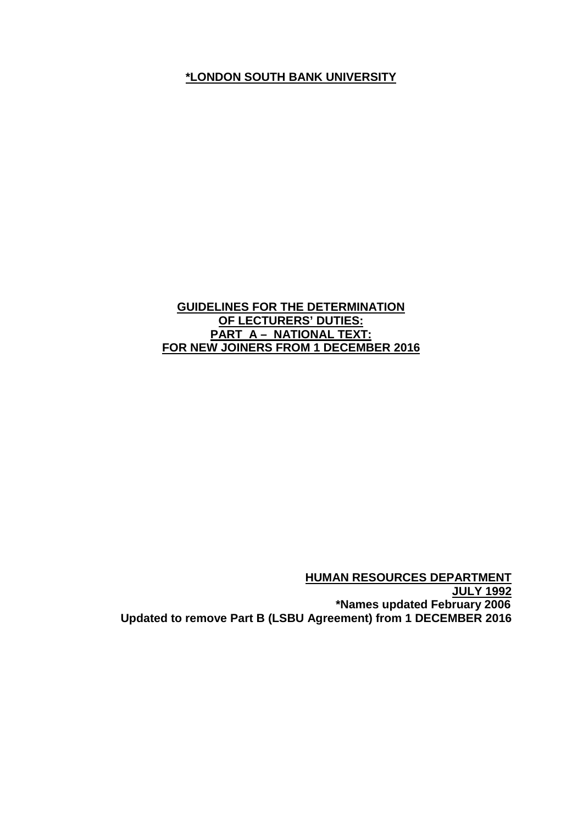**\*LONDON SOUTH BANK UNIVERSITY**

## **GUIDELINES FOR THE DETERMINATION OF LECTURERS' DUTIES: PART A – NATIONAL TEXT: FOR NEW JOINERS FROM 1 DECEMBER 2016**

**HUMAN RESOURCES DEPARTMENT JULY 1992 \*Names updated February 2006 Updated to remove Part B (LSBU Agreement) from 1 DECEMBER 2016**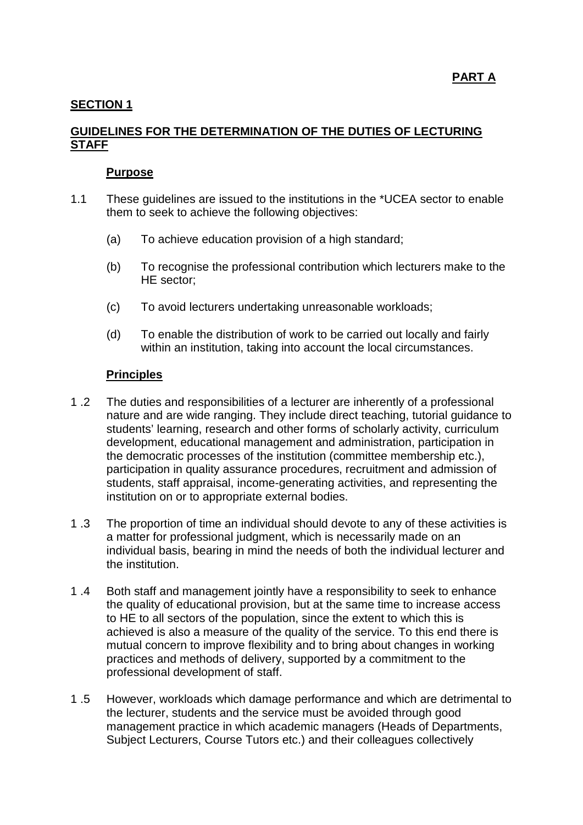## **SECTION 1**

# **GUIDELINES FOR THE DETERMINATION OF THE DUTIES OF LECTURING STAFF**

#### **Purpose**

- 1.1 These guidelines are issued to the institutions in the \*UCEA sector to enable them to seek to achieve the following objectives:
	- (a) To achieve education provision of a high standard;
	- (b) To recognise the professional contribution which lecturers make to the HE sector;
	- (c) To avoid lecturers undertaking unreasonable workloads;
	- (d) To enable the distribution of work to be carried out locally and fairly within an institution, taking into account the local circumstances.

## **Principles**

- 1 .2 The duties and responsibilities of a lecturer are inherently of a professional nature and are wide ranging. They include direct teaching, tutorial guidance to students' learning, research and other forms of scholarly activity, curriculum development, educational management and administration, participation in the democratic processes of the institution (committee membership etc.), participation in quality assurance procedures, recruitment and admission of students, staff appraisal, income-generating activities, and representing the institution on or to appropriate external bodies.
- 1 .3 The proportion of time an individual should devote to any of these activities is a matter for professional judgment, which is necessarily made on an individual basis, bearing in mind the needs of both the individual lecturer and the institution.
- 1 .4 Both staff and management jointly have a responsibility to seek to enhance the quality of educational provision, but at the same time to increase access to HE to all sectors of the population, since the extent to which this is achieved is also a measure of the quality of the service. To this end there is mutual concern to improve flexibility and to bring about changes in working practices and methods of delivery, supported by a commitment to the professional development of staff.
- 1 .5 However, workloads which damage performance and which are detrimental to the lecturer, students and the service must be avoided through good management practice in which academic managers (Heads of Departments, Subject Lecturers, Course Tutors etc.) and their colleagues collectively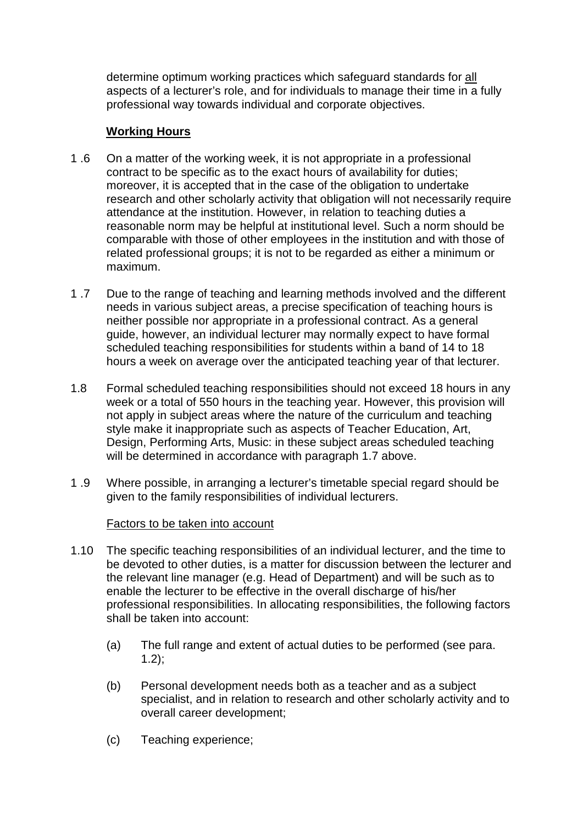determine optimum working practices which safeguard standards for all aspects of a lecturer's role, and for individuals to manage their time in a fully professional way towards individual and corporate objectives.

## **Working Hours**

- 1 .6 On a matter of the working week, it is not appropriate in a professional contract to be specific as to the exact hours of availability for duties; moreover, it is accepted that in the case of the obligation to undertake research and other scholarly activity that obligation will not necessarily require attendance at the institution. However, in relation to teaching duties a reasonable norm may be helpful at institutional level. Such a norm should be comparable with those of other employees in the institution and with those of related professional groups; it is not to be regarded as either a minimum or maximum.
- 1 .7 Due to the range of teaching and learning methods involved and the different needs in various subject areas, a precise specification of teaching hours is neither possible nor appropriate in a professional contract. As a general guide, however, an individual lecturer may normally expect to have formal scheduled teaching responsibilities for students within a band of 14 to 18 hours a week on average over the anticipated teaching year of that lecturer.
- 1.8 Formal scheduled teaching responsibilities should not exceed 18 hours in any week or a total of 550 hours in the teaching year. However, this provision will not apply in subject areas where the nature of the curriculum and teaching style make it inappropriate such as aspects of Teacher Education, Art, Design, Performing Arts, Music: in these subject areas scheduled teaching will be determined in accordance with paragraph 1.7 above.
- 1 .9 Where possible, in arranging a lecturer's timetable special regard should be given to the family responsibilities of individual lecturers.

## Factors to be taken into account

- 1.10 The specific teaching responsibilities of an individual lecturer, and the time to be devoted to other duties, is a matter for discussion between the lecturer and the relevant line manager (e.g. Head of Department) and will be such as to enable the lecturer to be effective in the overall discharge of his/her professional responsibilities. In allocating responsibilities, the following factors shall be taken into account:
	- (a) The full range and extent of actual duties to be performed (see para.  $1.2$ );
	- (b) Personal development needs both as a teacher and as a subject specialist, and in relation to research and other scholarly activity and to overall career development;
	- (c) Teaching experience;